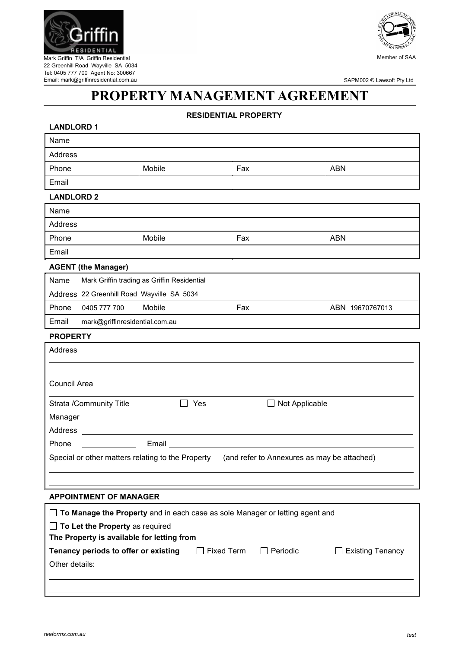

Mark Griffin T/A Griffin Residential 22 Greenhill Road Wayville SA 5034 Tel: 0405 777 700 Agent No: 300667 Email: mark@griffinresidential.com.au



SAPM002 © Lawsoft Pty Ltd

# **PROPERTY MANAGEMENT AGREEMENT**

## **RESIDENTIAL PROPERTY**

| <b>LANDLORD 1</b>                                                                   |                                             |
|-------------------------------------------------------------------------------------|---------------------------------------------|
| Name                                                                                |                                             |
| Address                                                                             |                                             |
| Phone<br>Mobile                                                                     | Fax<br><b>ABN</b>                           |
| Email                                                                               |                                             |
| <b>LANDLORD 2</b>                                                                   |                                             |
| Name                                                                                |                                             |
| Address                                                                             |                                             |
| Phone<br>Mobile                                                                     | Fax<br><b>ABN</b>                           |
| Email                                                                               |                                             |
| <b>AGENT (the Manager)</b>                                                          |                                             |
| Name<br>Mark Griffin trading as Griffin Residential                                 |                                             |
| Address 22 Greenhill Road Wayville SA 5034                                          |                                             |
| Phone<br>Mobile<br>0405 777 700                                                     | Fax<br>ABN 19670767013                      |
| Email<br>mark@griffinresidential.com.au                                             |                                             |
| <b>PROPERTY</b>                                                                     |                                             |
| Address                                                                             |                                             |
|                                                                                     |                                             |
| Council Area                                                                        |                                             |
|                                                                                     |                                             |
| <b>Strata /Community Title</b><br>$\Box$ Yes                                        | $\Box$ Not Applicable                       |
|                                                                                     |                                             |
| Address ________                                                                    |                                             |
| Email<br>Phone                                                                      |                                             |
| Special or other matters relating to the Property                                   | (and refer to Annexures as may be attached) |
|                                                                                     |                                             |
|                                                                                     |                                             |
| <b>APPOINTMENT OF MANAGER</b>                                                       |                                             |
| $\Box$ To Manage the Property and in each case as sole Manager or letting agent and |                                             |

| The Property is available for letting from |                   |                 |                         |
|--------------------------------------------|-------------------|-----------------|-------------------------|
| Tenancy periods to offer or existing       | $\Box$ Fixed Term | $\Box$ Periodic | $\Box$ Existing Tenancy |
| Other details:                             |                   |                 |                         |
|                                            |                   |                 |                         |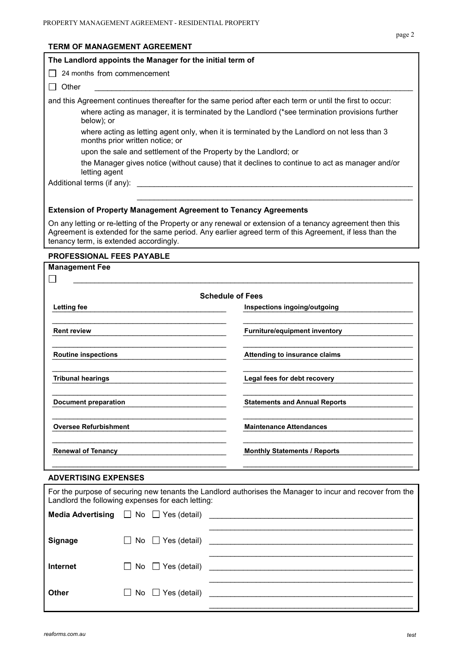# **TERM OF MANAGEMENT AGREEMENT**

| The Landlord appoints the Manager for the initial term of                                                                       |                                                                                                                                                                                                                     |  |  |  |
|---------------------------------------------------------------------------------------------------------------------------------|---------------------------------------------------------------------------------------------------------------------------------------------------------------------------------------------------------------------|--|--|--|
| 24 months from commencement                                                                                                     |                                                                                                                                                                                                                     |  |  |  |
| Other                                                                                                                           |                                                                                                                                                                                                                     |  |  |  |
|                                                                                                                                 | and this Agreement continues thereafter for the same period after each term or until the first to occur:                                                                                                            |  |  |  |
| where acting as manager, it is terminated by the Landlord (*see termination provisions further<br>below); or                    |                                                                                                                                                                                                                     |  |  |  |
| where acting as letting agent only, when it is terminated by the Landlord on not less than 3<br>months prior written notice; or |                                                                                                                                                                                                                     |  |  |  |
| upon the sale and settlement of the Property by the Landlord; or                                                                |                                                                                                                                                                                                                     |  |  |  |
| letting agent                                                                                                                   | the Manager gives notice (without cause) that it declines to continue to act as manager and/or                                                                                                                      |  |  |  |
| Additional terms (if any):                                                                                                      |                                                                                                                                                                                                                     |  |  |  |
| <b>Extension of Property Management Agreement to Tenancy Agreements</b><br>tenancy term, is extended accordingly.               | On any letting or re-letting of the Property or any renewal or extension of a tenancy agreement then this<br>Agreement is extended for the same period. Any earlier agreed term of this Agreement, if less than the |  |  |  |
| <b>PROFESSIONAL FEES PAYABLE</b>                                                                                                |                                                                                                                                                                                                                     |  |  |  |
| <b>Management Fee</b>                                                                                                           |                                                                                                                                                                                                                     |  |  |  |
|                                                                                                                                 |                                                                                                                                                                                                                     |  |  |  |
|                                                                                                                                 | <b>Schedule of Fees</b>                                                                                                                                                                                             |  |  |  |
| <b>Letting fee</b>                                                                                                              | Inspections ingoing/outgoing                                                                                                                                                                                        |  |  |  |
| <b>Rent review</b>                                                                                                              | Furniture/equipment inventory                                                                                                                                                                                       |  |  |  |
| <b>Routine inspections</b><br>Attending to insurance claims                                                                     |                                                                                                                                                                                                                     |  |  |  |

 $\mathcal{L}_\mathcal{L} = \{ \mathcal{L}_\mathcal{L} = \{ \mathcal{L}_\mathcal{L} = \{ \mathcal{L}_\mathcal{L} = \{ \mathcal{L}_\mathcal{L} = \{ \mathcal{L}_\mathcal{L} = \{ \mathcal{L}_\mathcal{L} = \{ \mathcal{L}_\mathcal{L} = \{ \mathcal{L}_\mathcal{L} = \{ \mathcal{L}_\mathcal{L} = \{ \mathcal{L}_\mathcal{L} = \{ \mathcal{L}_\mathcal{L} = \{ \mathcal{L}_\mathcal{L} = \{ \mathcal{L}_\mathcal{L} = \{ \mathcal{L}_\mathcal{$ \_\_\_\_\_\_\_\_\_\_\_\_\_\_\_\_\_\_\_\_\_\_\_\_\_\_\_\_\_\_\_\_\_\_\_\_\_\_\_\_\_ \_\_\_\_\_\_\_\_\_\_\_\_\_\_\_\_\_\_\_\_\_\_\_\_\_\_\_\_\_\_\_\_\_\_\_\_\_\_\_\_ **Tribunal hearings Legal fees for debt recovery** \_\_\_\_\_\_\_\_\_\_\_\_\_\_\_\_\_\_\_\_\_\_\_\_\_\_\_\_\_\_\_\_\_\_\_\_\_\_\_\_\_ \_\_\_\_\_\_\_\_\_\_\_\_\_\_\_\_\_\_\_\_\_\_\_\_\_\_\_\_\_\_\_\_\_\_\_\_\_\_\_\_ **Document preparation Statements and Annual Reports** 

\_\_\_\_\_\_\_\_\_\_\_\_\_\_\_\_\_\_\_\_\_\_\_\_\_\_\_\_\_\_\_\_\_\_\_\_\_\_\_\_\_ \_\_\_\_\_\_\_\_\_\_\_\_\_\_\_\_\_\_\_\_\_\_\_\_\_\_\_\_\_\_\_\_\_\_\_\_\_\_\_\_ **Oversee Refurbishment Maintenance Attendances**  $\mathcal{L}_\mathcal{L} = \{ \mathcal{L}_\mathcal{L} = \{ \mathcal{L}_\mathcal{L} = \{ \mathcal{L}_\mathcal{L} = \{ \mathcal{L}_\mathcal{L} = \{ \mathcal{L}_\mathcal{L} = \{ \mathcal{L}_\mathcal{L} = \{ \mathcal{L}_\mathcal{L} = \{ \mathcal{L}_\mathcal{L} = \{ \mathcal{L}_\mathcal{L} = \{ \mathcal{L}_\mathcal{L} = \{ \mathcal{L}_\mathcal{L} = \{ \mathcal{L}_\mathcal{L} = \{ \mathcal{L}_\mathcal{L} = \{ \mathcal{L}_\mathcal{$ Renewal of Tenancy **Contract Contract Contract Contract Contract Contract Contract Contract Contract Contract Contract Contract Contract Contract Contract Contract Contract Contract Contract Contract Contract Contract Cont** \_\_\_\_\_\_\_\_\_\_\_\_\_\_\_\_\_\_\_\_\_\_\_\_\_\_\_\_\_\_\_\_\_\_\_\_\_\_\_\_\_ \_\_\_\_\_\_\_\_\_\_\_\_\_\_\_\_\_\_\_\_\_\_\_\_\_\_\_\_\_\_\_\_\_\_\_\_\_\_\_\_

#### **ADVERTISING EXPENSES**

| For the purpose of securing new tenants the Landlord authorises the Manager to incur and recover from the<br>Landlord the following expenses for each letting: |  |                               |  |  |
|----------------------------------------------------------------------------------------------------------------------------------------------------------------|--|-------------------------------|--|--|
|                                                                                                                                                                |  |                               |  |  |
| <b>Signage</b>                                                                                                                                                 |  |                               |  |  |
| <b>Internet</b>                                                                                                                                                |  | $\Box$ No $\Box$ Yes (detail) |  |  |
| <b>Other</b>                                                                                                                                                   |  | $\Box$ No $\Box$ Yes (detail) |  |  |

page 2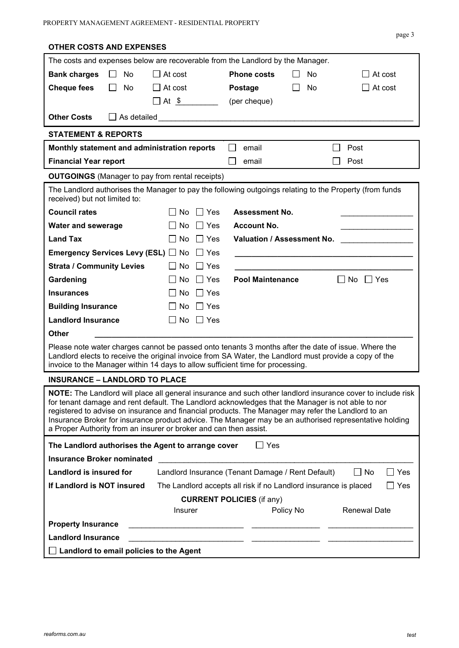**OTHER COSTS AND EXPENSES**

| The costs and expenses below are recoverable from the Landlord by the Manager.                                                                                                                                                                                                                                                                                                                                                                                                                        |                                                                  |                                  |           |                         |  |
|-------------------------------------------------------------------------------------------------------------------------------------------------------------------------------------------------------------------------------------------------------------------------------------------------------------------------------------------------------------------------------------------------------------------------------------------------------------------------------------------------------|------------------------------------------------------------------|----------------------------------|-----------|-------------------------|--|
| <b>Bank charges</b><br>No<br>$\perp$                                                                                                                                                                                                                                                                                                                                                                                                                                                                  | $\Box$ At cost                                                   | <b>Phone costs</b>               | No        | At cost                 |  |
| <b>Cheque fees</b><br>No<br>$\perp$                                                                                                                                                                                                                                                                                                                                                                                                                                                                   | $\Box$ At cost                                                   | <b>Postage</b>                   | No        | $\Box$ At cost          |  |
|                                                                                                                                                                                                                                                                                                                                                                                                                                                                                                       | $\Box$ At $\frac{\$}{\ }$                                        | (per cheque)                     |           |                         |  |
| <b>Other Costs</b>                                                                                                                                                                                                                                                                                                                                                                                                                                                                                    |                                                                  |                                  |           |                         |  |
| <b>STATEMENT &amp; REPORTS</b>                                                                                                                                                                                                                                                                                                                                                                                                                                                                        |                                                                  |                                  |           |                         |  |
| Monthly statement and administration reports                                                                                                                                                                                                                                                                                                                                                                                                                                                          |                                                                  | email<br>$\blacksquare$          |           | Post                    |  |
| <b>Financial Year report</b>                                                                                                                                                                                                                                                                                                                                                                                                                                                                          |                                                                  | email                            |           | Post                    |  |
| <b>OUTGOINGS</b> (Manager to pay from rental receipts)                                                                                                                                                                                                                                                                                                                                                                                                                                                |                                                                  |                                  |           |                         |  |
| The Landlord authorises the Manager to pay the following outgoings relating to the Property (from funds<br>received) but not limited to:                                                                                                                                                                                                                                                                                                                                                              |                                                                  |                                  |           |                         |  |
| <b>Council rates</b>                                                                                                                                                                                                                                                                                                                                                                                                                                                                                  | $\Box$ Yes<br>No.                                                | <b>Assessment No.</b>            |           |                         |  |
| <b>Water and sewerage</b>                                                                                                                                                                                                                                                                                                                                                                                                                                                                             | $\Box$ Yes<br>No                                                 | <b>Account No.</b>               |           |                         |  |
| <b>Land Tax</b>                                                                                                                                                                                                                                                                                                                                                                                                                                                                                       | No<br>$\Box$ Yes                                                 | Valuation / Assessment No.       |           |                         |  |
| <b>Emergency Services Levy (ESL)</b> No DYes                                                                                                                                                                                                                                                                                                                                                                                                                                                          |                                                                  |                                  |           |                         |  |
| <b>Strata / Community Levies</b>                                                                                                                                                                                                                                                                                                                                                                                                                                                                      | $\Box$ Yes<br>$\Box$ No                                          |                                  |           |                         |  |
| Gardening                                                                                                                                                                                                                                                                                                                                                                                                                                                                                             | ∐ Yes<br>No.                                                     | <b>Pool Maintenance</b>          |           | $\Box$ No $\Box$ Yes    |  |
| <b>Insurances</b>                                                                                                                                                                                                                                                                                                                                                                                                                                                                                     | $\Box$ Yes<br>No                                                 |                                  |           |                         |  |
| <b>Building Insurance</b>                                                                                                                                                                                                                                                                                                                                                                                                                                                                             | No $\Box$ Yes                                                    |                                  |           |                         |  |
| <b>Landlord Insurance</b>                                                                                                                                                                                                                                                                                                                                                                                                                                                                             | $No \Box Yes$<br>$\perp$                                         |                                  |           |                         |  |
| <b>Other</b>                                                                                                                                                                                                                                                                                                                                                                                                                                                                                          |                                                                  |                                  |           |                         |  |
| Please note water charges cannot be passed onto tenants 3 months after the date of issue. Where the<br>Landlord elects to receive the original invoice from SA Water, the Landlord must provide a copy of the<br>invoice to the Manager within 14 days to allow sufficient time for processing.                                                                                                                                                                                                       |                                                                  |                                  |           |                         |  |
| <b>INSURANCE - LANDLORD TO PLACE</b>                                                                                                                                                                                                                                                                                                                                                                                                                                                                  |                                                                  |                                  |           |                         |  |
| NOTE: The Landlord will place all general insurance and such other landlord insurance cover to include risk<br>for tenant damage and rent default. The Landlord acknowledges that the Manager is not able to nor<br>registered to advise on insurance and financial products. The Manager may refer the Landlord to an<br>Insurance Broker for insurance product advice. The Manager may be an authorised representative holding<br>a Proper Authority from an insurer or broker and can then assist. |                                                                  |                                  |           |                         |  |
| The Landlord authorises the Agent to arrange cover                                                                                                                                                                                                                                                                                                                                                                                                                                                    |                                                                  | $\Box$ Yes                       |           |                         |  |
| <b>Insurance Broker nominated</b>                                                                                                                                                                                                                                                                                                                                                                                                                                                                     |                                                                  |                                  |           |                         |  |
| Landlord is insured for                                                                                                                                                                                                                                                                                                                                                                                                                                                                               | Landlord Insurance (Tenant Damage / Rent Default)                |                                  |           | $\Box$ No<br>$\Box$ Yes |  |
| If Landlord is NOT insured                                                                                                                                                                                                                                                                                                                                                                                                                                                                            | The Landlord accepts all risk if no Landlord insurance is placed |                                  |           | $\Box$ Yes              |  |
|                                                                                                                                                                                                                                                                                                                                                                                                                                                                                                       |                                                                  | <b>CURRENT POLICIES (if any)</b> |           |                         |  |
|                                                                                                                                                                                                                                                                                                                                                                                                                                                                                                       | <b>Insurer</b>                                                   |                                  | Policy No | <b>Renewal Date</b>     |  |
| <b>Property Insurance</b>                                                                                                                                                                                                                                                                                                                                                                                                                                                                             |                                                                  |                                  |           |                         |  |
| <b>Landlord Insurance</b>                                                                                                                                                                                                                                                                                                                                                                                                                                                                             |                                                                  |                                  |           |                         |  |
| $\Box$ Landlord to email policies to the Agent                                                                                                                                                                                                                                                                                                                                                                                                                                                        |                                                                  |                                  |           |                         |  |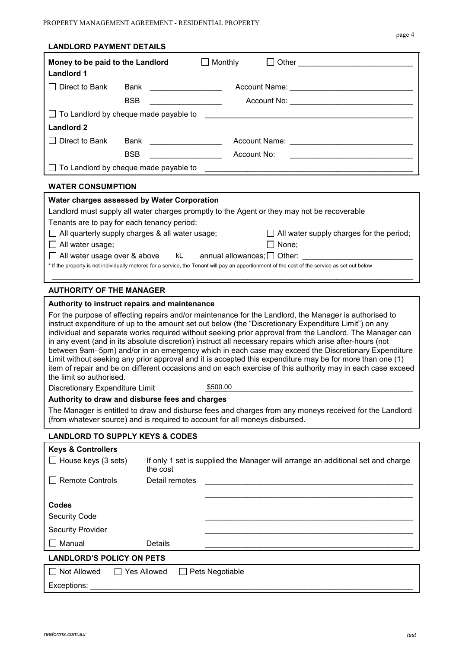|--|--|

| <b>LANDLORD PAYMENT DETAILS</b>                                         |                                                        |                                                                                                                                                                                                                                                                                                                                                                                                                                                                                                                                                                                                                                                                                                                                                                             |  |
|-------------------------------------------------------------------------|--------------------------------------------------------|-----------------------------------------------------------------------------------------------------------------------------------------------------------------------------------------------------------------------------------------------------------------------------------------------------------------------------------------------------------------------------------------------------------------------------------------------------------------------------------------------------------------------------------------------------------------------------------------------------------------------------------------------------------------------------------------------------------------------------------------------------------------------------|--|
| Money to be paid to the Landlord<br><b>Landlord 1</b>                   |                                                        | $\Box$ Monthly                                                                                                                                                                                                                                                                                                                                                                                                                                                                                                                                                                                                                                                                                                                                                              |  |
| $\Box$ Direct to Bank                                                   | Bank                                                   |                                                                                                                                                                                                                                                                                                                                                                                                                                                                                                                                                                                                                                                                                                                                                                             |  |
|                                                                         | <b>BSB</b>                                             |                                                                                                                                                                                                                                                                                                                                                                                                                                                                                                                                                                                                                                                                                                                                                                             |  |
|                                                                         |                                                        | □ To Landlord by cheque made payable to entitled and all the control of the control of the control of the control of the control of the control of the control of the control of the control of the control of the control of                                                                                                                                                                                                                                                                                                                                                                                                                                                                                                                                               |  |
| <b>Landlord 2</b>                                                       |                                                        |                                                                                                                                                                                                                                                                                                                                                                                                                                                                                                                                                                                                                                                                                                                                                                             |  |
| $\Box$ Direct to Bank                                                   |                                                        |                                                                                                                                                                                                                                                                                                                                                                                                                                                                                                                                                                                                                                                                                                                                                                             |  |
|                                                                         | <b>BSB</b>                                             | Account No:                                                                                                                                                                                                                                                                                                                                                                                                                                                                                                                                                                                                                                                                                                                                                                 |  |
|                                                                         | $\Box$ To Landlord by cheque made payable to           |                                                                                                                                                                                                                                                                                                                                                                                                                                                                                                                                                                                                                                                                                                                                                                             |  |
|                                                                         |                                                        |                                                                                                                                                                                                                                                                                                                                                                                                                                                                                                                                                                                                                                                                                                                                                                             |  |
| <b>WATER CONSUMPTION</b>                                                |                                                        |                                                                                                                                                                                                                                                                                                                                                                                                                                                                                                                                                                                                                                                                                                                                                                             |  |
|                                                                         | Water charges assessed by Water Corporation            |                                                                                                                                                                                                                                                                                                                                                                                                                                                                                                                                                                                                                                                                                                                                                                             |  |
|                                                                         | Tenants are to pay for each tenancy period:            | Landlord must supply all water charges promptly to the Agent or they may not be recoverable                                                                                                                                                                                                                                                                                                                                                                                                                                                                                                                                                                                                                                                                                 |  |
|                                                                         | $\Box$ All quarterly supply charges & all water usage; | $\Box$ All water supply charges for the period;                                                                                                                                                                                                                                                                                                                                                                                                                                                                                                                                                                                                                                                                                                                             |  |
| $\Box$ All water usage;                                                 |                                                        | $\Box$ None;                                                                                                                                                                                                                                                                                                                                                                                                                                                                                                                                                                                                                                                                                                                                                                |  |
|                                                                         |                                                        | $\Box$ All water usage over & above kL annual allowances; $\Box$ Other:                                                                                                                                                                                                                                                                                                                                                                                                                                                                                                                                                                                                                                                                                                     |  |
|                                                                         |                                                        | * If the property is not individually metered for a service, the Tenant will pay an apportionment of the cost of the service as set out below                                                                                                                                                                                                                                                                                                                                                                                                                                                                                                                                                                                                                               |  |
| <b>AUTHORITY OF THE MANAGER</b>                                         |                                                        |                                                                                                                                                                                                                                                                                                                                                                                                                                                                                                                                                                                                                                                                                                                                                                             |  |
|                                                                         | Authority to instruct repairs and maintenance          |                                                                                                                                                                                                                                                                                                                                                                                                                                                                                                                                                                                                                                                                                                                                                                             |  |
|                                                                         |                                                        | For the purpose of effecting repairs and/or maintenance for the Landlord, the Manager is authorised to<br>instruct expenditure of up to the amount set out below (the "Discretionary Expenditure Limit") on any<br>individual and separate works required without seeking prior approval from the Landlord. The Manager can<br>in any event (and in its absolute discretion) instruct all necessary repairs which arise after-hours (not<br>between 9am-5pm) and/or in an emergency which in each case may exceed the Discretionary Expenditure<br>Limit without seeking any prior approval and it is accepted this expenditure may be for more than one (1)<br>item of repair and be on different occasions and on each exercise of this authority may in each case exceed |  |
| the limit so authorised.<br>\$500.00<br>Discretionary Expenditure Limit |                                                        |                                                                                                                                                                                                                                                                                                                                                                                                                                                                                                                                                                                                                                                                                                                                                                             |  |
|                                                                         | Authority to draw and disburse fees and charges        |                                                                                                                                                                                                                                                                                                                                                                                                                                                                                                                                                                                                                                                                                                                                                                             |  |
|                                                                         |                                                        | The Manager is entitled to draw and disburse fees and charges from any moneys received for the Landlord<br>(from whatever source) and is required to account for all moneys disbursed.                                                                                                                                                                                                                                                                                                                                                                                                                                                                                                                                                                                      |  |
|                                                                         | <b>LANDLORD TO SUPPLY KEYS &amp; CODES</b>             |                                                                                                                                                                                                                                                                                                                                                                                                                                                                                                                                                                                                                                                                                                                                                                             |  |
| <b>Keys &amp; Controllers</b>                                           |                                                        |                                                                                                                                                                                                                                                                                                                                                                                                                                                                                                                                                                                                                                                                                                                                                                             |  |
| $\Box$ House keys (3 sets)                                              | the cost                                               | If only 1 set is supplied the Manager will arrange an additional set and charge                                                                                                                                                                                                                                                                                                                                                                                                                                                                                                                                                                                                                                                                                             |  |
| <b>Remote Controls</b>                                                  | Detail remotes                                         |                                                                                                                                                                                                                                                                                                                                                                                                                                                                                                                                                                                                                                                                                                                                                                             |  |
|                                                                         |                                                        |                                                                                                                                                                                                                                                                                                                                                                                                                                                                                                                                                                                                                                                                                                                                                                             |  |
| Codes                                                                   |                                                        |                                                                                                                                                                                                                                                                                                                                                                                                                                                                                                                                                                                                                                                                                                                                                                             |  |
| Security Code                                                           |                                                        |                                                                                                                                                                                                                                                                                                                                                                                                                                                                                                                                                                                                                                                                                                                                                                             |  |
| <b>Security Provider</b>                                                |                                                        |                                                                                                                                                                                                                                                                                                                                                                                                                                                                                                                                                                                                                                                                                                                                                                             |  |
| Manual                                                                  | Details                                                |                                                                                                                                                                                                                                                                                                                                                                                                                                                                                                                                                                                                                                                                                                                                                                             |  |
| <b>LANDLORD'S POLICY ON PETS</b>                                        |                                                        |                                                                                                                                                                                                                                                                                                                                                                                                                                                                                                                                                                                                                                                                                                                                                                             |  |
| Not Allowed                                                             | $\Box$ Yes Allowed                                     | Pets Negotiable                                                                                                                                                                                                                                                                                                                                                                                                                                                                                                                                                                                                                                                                                                                                                             |  |
| Exceptions: Network and Controller                                      |                                                        |                                                                                                                                                                                                                                                                                                                                                                                                                                                                                                                                                                                                                                                                                                                                                                             |  |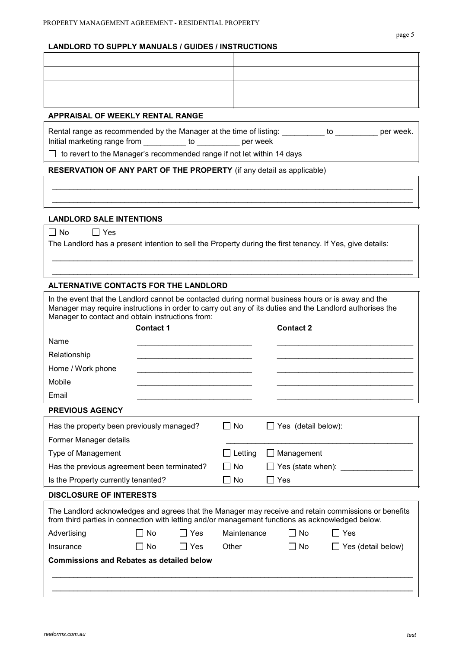## **LANDLORD TO SUPPLY MANUALS / GUIDES / INSTRUCTIONS**

## **APPRAISAL OF WEEKLY RENTAL RANGE**

Rental range as recommended by the Manager at the time of listing: we say to week. Initial marketing range from \_\_\_\_\_\_\_\_\_\_ to \_\_\_\_\_\_\_\_\_\_ per week

 $\mathcal{L}_\mathcal{L} = \{ \mathcal{L}_\mathcal{L} = \{ \mathcal{L}_\mathcal{L} = \{ \mathcal{L}_\mathcal{L} = \{ \mathcal{L}_\mathcal{L} = \{ \mathcal{L}_\mathcal{L} = \{ \mathcal{L}_\mathcal{L} = \{ \mathcal{L}_\mathcal{L} = \{ \mathcal{L}_\mathcal{L} = \{ \mathcal{L}_\mathcal{L} = \{ \mathcal{L}_\mathcal{L} = \{ \mathcal{L}_\mathcal{L} = \{ \mathcal{L}_\mathcal{L} = \{ \mathcal{L}_\mathcal{L} = \{ \mathcal{L}_\mathcal{$  $\mathcal{L}_\mathcal{L} = \{ \mathcal{L}_\mathcal{L} = \{ \mathcal{L}_\mathcal{L} = \{ \mathcal{L}_\mathcal{L} = \{ \mathcal{L}_\mathcal{L} = \{ \mathcal{L}_\mathcal{L} = \{ \mathcal{L}_\mathcal{L} = \{ \mathcal{L}_\mathcal{L} = \{ \mathcal{L}_\mathcal{L} = \{ \mathcal{L}_\mathcal{L} = \{ \mathcal{L}_\mathcal{L} = \{ \mathcal{L}_\mathcal{L} = \{ \mathcal{L}_\mathcal{L} = \{ \mathcal{L}_\mathcal{L} = \{ \mathcal{L}_\mathcal{$ 

\_\_\_\_\_\_\_\_\_\_\_\_\_\_\_\_\_\_\_\_\_\_\_\_\_\_\_\_\_\_\_\_\_\_\_\_\_\_\_\_\_\_\_\_\_\_\_\_\_\_\_\_\_\_\_\_\_\_\_\_\_\_\_\_\_\_\_\_\_\_\_\_\_\_\_\_\_\_\_\_\_\_\_\_\_  $\mathcal{L}_\mathcal{L} = \{ \mathcal{L}_\mathcal{L} = \{ \mathcal{L}_\mathcal{L} = \{ \mathcal{L}_\mathcal{L} = \{ \mathcal{L}_\mathcal{L} = \{ \mathcal{L}_\mathcal{L} = \{ \mathcal{L}_\mathcal{L} = \{ \mathcal{L}_\mathcal{L} = \{ \mathcal{L}_\mathcal{L} = \{ \mathcal{L}_\mathcal{L} = \{ \mathcal{L}_\mathcal{L} = \{ \mathcal{L}_\mathcal{L} = \{ \mathcal{L}_\mathcal{L} = \{ \mathcal{L}_\mathcal{L} = \{ \mathcal{L}_\mathcal{$ 

 $\Box$  to revert to the Manager's recommended range if not let within 14 days

## **RESERVATION OF ANY PART OF THE PROPERTY** (if any detail as applicable)

## **LANDLORD SALE INTENTIONS**

| N٥ | es |
|----|----|
|----|----|

The Landlord has a present intention to sell the Property during the first tenancy. If Yes, give details:

## **ALTERNATIVE CONTACTS FOR THE LANDLORD**

| In the event that the Landlord cannot be contacted during normal business hours or is away and the<br>Manager may require instructions in order to carry out any of its duties and the Landlord authorises the<br>Manager to contact and obtain instructions from: |                  |                |           |                       |                     |                           |
|--------------------------------------------------------------------------------------------------------------------------------------------------------------------------------------------------------------------------------------------------------------------|------------------|----------------|-----------|-----------------------|---------------------|---------------------------|
|                                                                                                                                                                                                                                                                    | <b>Contact 1</b> |                |           |                       | <b>Contact 2</b>    |                           |
| Name                                                                                                                                                                                                                                                               |                  |                |           |                       |                     |                           |
| Relationship                                                                                                                                                                                                                                                       |                  |                |           |                       |                     |                           |
| Home / Work phone                                                                                                                                                                                                                                                  |                  |                |           |                       |                     |                           |
| Mobile                                                                                                                                                                                                                                                             |                  |                |           |                       |                     |                           |
| Email                                                                                                                                                                                                                                                              |                  |                |           |                       |                     |                           |
| <b>PREVIOUS AGENCY</b>                                                                                                                                                                                                                                             |                  |                |           |                       |                     |                           |
| Has the property been previously managed?                                                                                                                                                                                                                          |                  |                | $\Box$ No |                       | Yes (detail below): |                           |
| Former Manager details                                                                                                                                                                                                                                             |                  |                |           |                       |                     |                           |
| Type of Management                                                                                                                                                                                                                                                 |                  | $\Box$ Letting |           | Management<br>$\perp$ |                     |                           |
| Has the previous agreement been terminated?                                                                                                                                                                                                                        |                  | No             |           |                       | Yes (state when):   |                           |
| Is the Property currently tenanted?                                                                                                                                                                                                                                |                  | No             |           | Yes                   |                     |                           |
| <b>DISCLOSURE OF INTERESTS</b>                                                                                                                                                                                                                                     |                  |                |           |                       |                     |                           |
| The Landlord acknowledges and agrees that the Manager may receive and retain commissions or benefits<br>from third parties in connection with letting and/or management functions as acknowledged below.                                                           |                  |                |           |                       |                     |                           |
| Advertising<br>Nο<br>Yes                                                                                                                                                                                                                                           |                  | Maintenance    |           | No.                   | □ Yes               |                           |
| Insurance                                                                                                                                                                                                                                                          | $\Box$ No        | $\Box$ Yes     | Other     |                       | l I No              | $\Box$ Yes (detail below) |
| <b>Commissions and Rebates as detailed below</b>                                                                                                                                                                                                                   |                  |                |           |                       |                     |                           |
|                                                                                                                                                                                                                                                                    |                  |                |           |                       |                     |                           |
|                                                                                                                                                                                                                                                                    |                  |                |           |                       |                     |                           |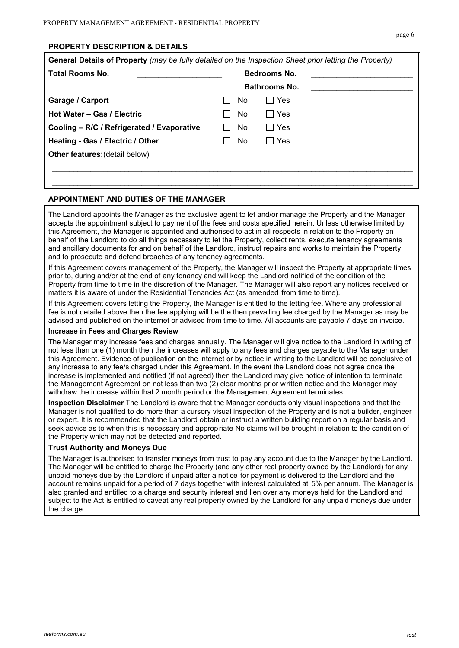## **PROPERTY DESCRIPTION & DETAILS**

| General Details of Property (may be fully detailed on the Inspection Sheet prior letting the Property) |                     |           |                      |  |
|--------------------------------------------------------------------------------------------------------|---------------------|-----------|----------------------|--|
| <b>Total Rooms No.</b>                                                                                 | <b>Bedrooms No.</b> |           |                      |  |
|                                                                                                        |                     |           | <b>Bathrooms No.</b> |  |
| <b>Garage / Carport</b>                                                                                |                     | No.       | ∏ Yes                |  |
| Hot Water - Gas / Electric                                                                             |                     | No.       | Yes<br>$\mathsf{L}$  |  |
| Cooling - R/C / Refrigerated / Evaporative                                                             |                     | <b>No</b> | Yes<br>$\Box$        |  |
| Heating - Gas / Electric / Other                                                                       |                     | No.       | Yes<br>I I           |  |
| <b>Other features: (detail below)</b>                                                                  |                     |           |                      |  |
|                                                                                                        |                     |           |                      |  |
|                                                                                                        |                     |           |                      |  |

## **APPOINTMENT AND DUTIES OF THE MANAGER**

The Landlord appoints the Manager as the exclusive agent to let and/or manage the Property and the Manager accepts the appointment subject to payment of the fees and costs specified herein. Unless otherwise limited by this Agreement, the Manager is appointed and authorised to act in all respects in relation to the Property on behalf of the Landlord to do all things necessary to let the Property, collect rents, execute tenancy agreements and ancillary documents for and on behalf of the Landlord, instruct repairs and works to maintain the Property, and to prosecute and defend breaches of any tenancy agreements.

If this Agreement covers management of the Property, the Manager will inspect the Property at appropriate times prior to, during and/or at the end of any tenancy and will keep the Landlord notified of the condition of the Property from time to time in the discretion of the Manager. The Manager will also report any notices received or matters it is aware of under the Residential Tenancies Act (as amended from time to time).

If this Agreement covers letting the Property, the Manager is entitled to the letting fee. Where any professional fee is not detailed above then the fee applying will be the then prevailing fee charged by the Manager as may be advised and published on the internet or advised from time to time. All accounts are payable 7 days on invoice.

#### **Increase in Fees and Charges Review**

The Manager may increase fees and charges annually. The Manager will give notice to the Landlord in writing of not less than one (1) month then the increases will apply to any fees and charges payable to the Manager under this Agreement. Evidence of publication on the internet or by notice in writing to the Landlord will be conclusive of any increase to any fee/s charged under this Agreement. In the event the Landlord does not agree once the increase is implemented and notified (if not agreed) then the Landlord may give notice of intention to terminate the Management Agreement on not less than two (2) clear months prior written notice and the Manager may withdraw the increase within that 2 month period or the Management Agreement terminates.

**Inspection Disclaimer** The Landlord is aware that the Manager conducts only visual inspections and that the Manager is not qualified to do more than a cursory visual inspection of the Property and is not a builder, engineer or expert. It is recommended that the Landlord obtain or instruct a written building report on a regular basis and seek advice as to when this is necessary and appropriate No claims will be brought in relation to the condition of the Property which may not be detected and reported.

#### **Trust Authority and Moneys Due**

The Manager is authorised to transfer moneys from trust to pay any account due to the Manager by the Landlord. The Manager will be entitled to charge the Property (and any other real property owned by the Landlord) for any unpaid moneys due by the Landlord if unpaid after a notice for payment is delivered to the Landlord and the account remains unpaid for a period of 7 days together with interest calculated at 5% per annum. The Manager is also granted and entitled to a charge and security interest and lien over any moneys held for the Landlord and subject to the Act is entitled to caveat any real property owned by the Landlord for any unpaid moneys due under the charge.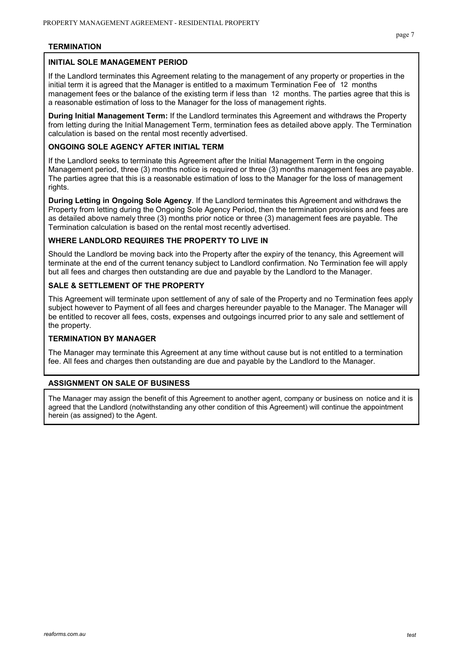## **TERMINATION**

## **INITIAL SOLE MANAGEMENT PERIOD**

If the Landlord terminates this Agreement relating to the management of any property or properties in the initial term it is agreed that the Manager is entitled to a maximum Termination Fee of  $12$  months management fees or the balance of the existing term if less than 12 months. The parties agree that this is a reasonable estimation of loss to the Manager for the loss of management rights.

**During Initial Management Term:** If the Landlord terminates this Agreement and withdraws the Property from letting during the Initial Management Term, termination fees as detailed above apply. The Termination calculation is based on the rental most recently advertised.

## **ONGOING SOLE AGENCY AFTER INITIAL TERM**

If the Landlord seeks to terminate this Agreement after the Initial Management Term in the ongoing Management period, three (3) months notice is required or three (3) months management fees are payable. The parties agree that this is a reasonable estimation of loss to the Manager for the loss of management rights.

**During Letting in Ongoing Sole Agency**. If the Landlord terminates this Agreement and withdraws the Property from letting during the Ongoing Sole Agency Period, then the termination provisions and fees are as detailed above namely three (3) months prior notice or three (3) management fees are payable. The Termination calculation is based on the rental most recently advertised.

#### **WHERE LANDLORD REQUIRES THE PROPERTY TO LIVE IN**

Should the Landlord be moving back into the Property after the expiry of the tenancy, this Agreement will terminate at the end of the current tenancy subject to Landlord confirmation. No Termination fee will apply but all fees and charges then outstanding are due and payable by the Landlord to the Manager.

## **SALE & SETTLEMENT OF THE PROPERTY**

This Agreement will terminate upon settlement of any of sale of the Property and no Termination fees apply subject however to Payment of all fees and charges hereunder payable to the Manager. The Manager will be entitled to recover all fees, costs, expenses and outgoings incurred prior to any sale and settlement of the property.

## **TERMINATION BY MANAGER**

The Manager may terminate this Agreement at any time without cause but is not entitled to a termination fee. All fees and charges then outstanding are due and payable by the Landlord to the Manager.

## **ASSIGNMENT ON SALE OF BUSINESS**

The Manager may assign the benefit of this Agreement to another agent, company or business on notice and it is agreed that the Landlord (notwithstanding any other condition of this Agreement) will continue the appointment herein (as assigned) to the Agent.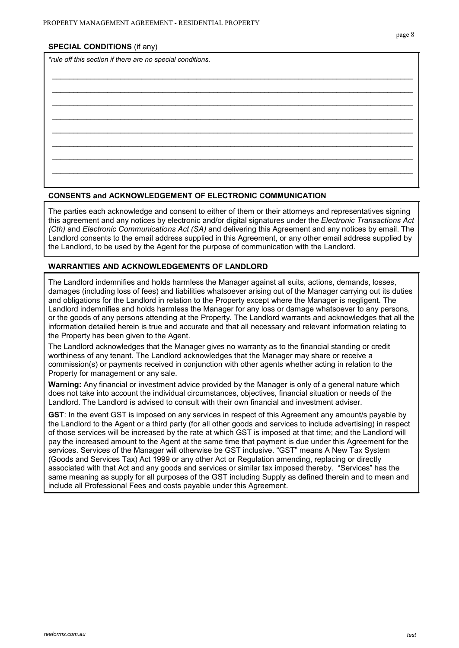#### **SPECIAL CONDITIONS** (if any)

*\*rule off this section if there are no special conditions.*

#### **CONSENTS and ACKNOWLEDGEMENT OF ELECTRONIC COMMUNICATION**

The parties each acknowledge and consent to either of them or their attorneys and representatives signing this agreement and any notices by electronic and/or digital signatures under the *Electronic Transactions Act (Cth)* and *Electronic Communications Act (SA)* and delivering this Agreement and any notices by email. The Landlord consents to the email address supplied in this Agreement, or any other email address supplied by the Landlord, to be used by the Agent for the purpose of communication with the Landlord.

\_\_\_\_\_\_\_\_\_\_\_\_\_\_\_\_\_\_\_\_\_\_\_\_\_\_\_\_\_\_\_\_\_\_\_\_\_\_\_\_\_\_\_\_\_\_\_\_\_\_\_\_\_\_\_\_\_\_\_\_\_\_\_\_\_\_\_\_\_\_\_\_\_\_\_\_\_\_\_\_\_\_\_\_\_  $\mathcal{L}_\mathcal{L} = \{ \mathcal{L}_\mathcal{L} = \{ \mathcal{L}_\mathcal{L} = \{ \mathcal{L}_\mathcal{L} = \{ \mathcal{L}_\mathcal{L} = \{ \mathcal{L}_\mathcal{L} = \{ \mathcal{L}_\mathcal{L} = \{ \mathcal{L}_\mathcal{L} = \{ \mathcal{L}_\mathcal{L} = \{ \mathcal{L}_\mathcal{L} = \{ \mathcal{L}_\mathcal{L} = \{ \mathcal{L}_\mathcal{L} = \{ \mathcal{L}_\mathcal{L} = \{ \mathcal{L}_\mathcal{L} = \{ \mathcal{L}_\mathcal{$  $\mathcal{L}_\mathcal{L} = \{ \mathcal{L}_\mathcal{L} = \{ \mathcal{L}_\mathcal{L} = \{ \mathcal{L}_\mathcal{L} = \{ \mathcal{L}_\mathcal{L} = \{ \mathcal{L}_\mathcal{L} = \{ \mathcal{L}_\mathcal{L} = \{ \mathcal{L}_\mathcal{L} = \{ \mathcal{L}_\mathcal{L} = \{ \mathcal{L}_\mathcal{L} = \{ \mathcal{L}_\mathcal{L} = \{ \mathcal{L}_\mathcal{L} = \{ \mathcal{L}_\mathcal{L} = \{ \mathcal{L}_\mathcal{L} = \{ \mathcal{L}_\mathcal{$ \_\_\_\_\_\_\_\_\_\_\_\_\_\_\_\_\_\_\_\_\_\_\_\_\_\_\_\_\_\_\_\_\_\_\_\_\_\_\_\_\_\_\_\_\_\_\_\_\_\_\_\_\_\_\_\_\_\_\_\_\_\_\_\_\_\_\_\_\_\_\_\_\_\_\_\_\_\_\_\_\_\_\_\_\_ \_\_\_\_\_\_\_\_\_\_\_\_\_\_\_\_\_\_\_\_\_\_\_\_\_\_\_\_\_\_\_\_\_\_\_\_\_\_\_\_\_\_\_\_\_\_\_\_\_\_\_\_\_\_\_\_\_\_\_\_\_\_\_\_\_\_\_\_\_\_\_\_\_\_\_\_\_\_\_\_\_\_\_\_\_  $\mathcal{L}_\mathcal{L} = \{ \mathcal{L}_\mathcal{L} = \{ \mathcal{L}_\mathcal{L} = \{ \mathcal{L}_\mathcal{L} = \{ \mathcal{L}_\mathcal{L} = \{ \mathcal{L}_\mathcal{L} = \{ \mathcal{L}_\mathcal{L} = \{ \mathcal{L}_\mathcal{L} = \{ \mathcal{L}_\mathcal{L} = \{ \mathcal{L}_\mathcal{L} = \{ \mathcal{L}_\mathcal{L} = \{ \mathcal{L}_\mathcal{L} = \{ \mathcal{L}_\mathcal{L} = \{ \mathcal{L}_\mathcal{L} = \{ \mathcal{L}_\mathcal{$ \_\_\_\_\_\_\_\_\_\_\_\_\_\_\_\_\_\_\_\_\_\_\_\_\_\_\_\_\_\_\_\_\_\_\_\_\_\_\_\_\_\_\_\_\_\_\_\_\_\_\_\_\_\_\_\_\_\_\_\_\_\_\_\_\_\_\_\_\_\_\_\_\_\_\_\_\_\_\_\_\_\_\_\_\_ \_\_\_\_\_\_\_\_\_\_\_\_\_\_\_\_\_\_\_\_\_\_\_\_\_\_\_\_\_\_\_\_\_\_\_\_\_\_\_\_\_\_\_\_\_\_\_\_\_\_\_\_\_\_\_\_\_\_\_\_\_\_\_\_\_\_\_\_\_\_\_\_\_\_\_\_\_\_\_\_\_\_\_\_\_

## **WARRANTIES AND ACKNOWLEDGEMENTS OF LANDLORD**

The Landlord indemnifies and holds harmless the Manager against all suits, actions, demands, losses, damages (including loss of fees) and liabilities whatsoever arising out of the Manager carrying out its duties and obligations for the Landlord in relation to the Property except where the Manager is negligent. The Landlord indemnifies and holds harmless the Manager for any loss or damage whatsoever to any persons, or the goods of any persons attending at the Property. The Landlord warrants and acknowledges that all the information detailed herein is true and accurate and that all necessary and relevant information relating to the Property has been given to the Agent.

The Landlord acknowledges that the Manager gives no warranty as to the financial standing or credit worthiness of any tenant. The Landlord acknowledges that the Manager may share or receive a commission(s) or payments received in conjunction with other agents whether acting in relation to the Property for management or any sale.

**Warning:** Any financial or investment advice provided by the Manager is only of a general nature which does not take into account the individual circumstances, objectives, financial situation or needs of the Landlord. The Landlord is advised to consult with their own financial and investment adviser.

**GST**: In the event GST is imposed on any services in respect of this Agreement any amount/s payable by the Landlord to the Agent or a third party (for all other goods and services to include advertising) in respect of those services will be increased by the rate at which GST is imposed at that time; and the Landlord will pay the increased amount to the Agent at the same time that payment is due under this Agreement for the services. Services of the Manager will otherwise be GST inclusive. "GST" means A New Tax System (Goods and Services Tax) Act 1999 or any other Act or Regulation amending, replacing or directly associated with that Act and any goods and services or similar tax imposed thereby. "Services" has the same meaning as supply for all purposes of the GST including Supply as defined therein and to mean and include all Professional Fees and costs payable under this Agreement.